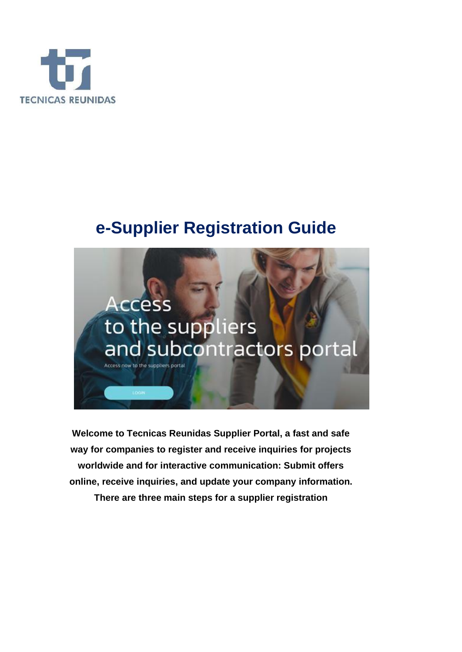

# **e-Supplier Registration Guide**



**Welcome to Tecnicas Reunidas Supplier Portal, a fast and safe way for companies to register and receive inquiries for projects worldwide and for interactive communication: Submit offers online, receive inquiries, and update your company information.** 

**There are three main steps for a supplier registration**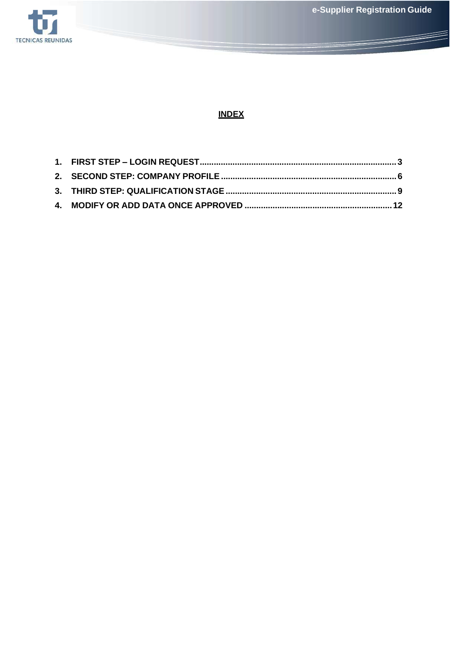**e-Supplier Registration Guide**



# **INDEX**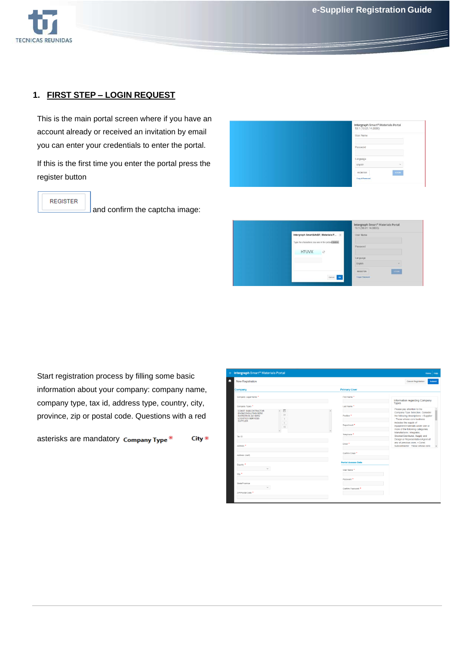

## **1. FIRST STEP – LOGIN REQUEST**

This is the main portal screen where if you have an account already or received an invitation by email you can enter your credentials to enter the portal.

If this is the first time you enter the portal press the register button



**REGISTER** 

and confirm the captcha image:

|              |                                                              | Intergraph Smart® Materials Portal<br>10.1 (10.01.14.0000) |             |
|--------------|--------------------------------------------------------------|------------------------------------------------------------|-------------|
|              | Intergraph Smart¿ Materials P X                              | User Name                                                  |             |
| <b>H7UVX</b> | Type the characters you see in the picture below.<br>$\circ$ | Password                                                   |             |
|              |                                                              | Language                                                   |             |
|              |                                                              | English                                                    | $\sim$      |
|              |                                                              | REGISTER                                                   | <b>LOON</b> |
|              | Cancel 02                                                    | <b>Forgot Password</b>                                     |             |

Start registration process by filling some basic information about your company: company name, company type, tax id, address type, country, city, province, zip or postal code. Questions with a red

asterisks are mandatory Company Type\* City \*

| <b>Intergraph Smart<sup>®</sup> Materials Portal</b>                                                                                                      |                            | Home Help                                                                                                                                |
|-----------------------------------------------------------------------------------------------------------------------------------------------------------|----------------------------|------------------------------------------------------------------------------------------------------------------------------------------|
| New Registration                                                                                                                                          |                            | <b>Cancel Registration</b><br>Submit                                                                                                     |
| Company                                                                                                                                                   | <b>Primary User</b>        |                                                                                                                                          |
| Company Legal Name *                                                                                                                                      | First Name *               | Information regarding Company                                                                                                            |
| Company Types *                                                                                                                                           | Last Name *                | <b>Types</b>                                                                                                                             |
| $\mathbb{E}$<br>CONST. SUBCONTRACTOR<br>ENG&CONSULTING SERV.<br>><br><b>INSPECTION-QC SERV.</b><br>LOGISTICS SERVICES<br>$\rightarrow$<br><b>SUPPLIER</b> | Position <sup>*</sup>      | Please pay attention to the<br>Company Type Selection, Consider<br>the following descriptions: . Supplier<br>: Those whose core business |
| $\epsilon$<br>$<<$                                                                                                                                        | Department *               | includes the supply of<br>equipment/materials under one or<br>more of the following categories:                                          |
| Tax ID                                                                                                                                                    | Telephone *                | Manufacturer, Integrator,<br>Stockist/Distributor, Supply and<br>Design or Representative/Agent of                                       |
| Address <sup>*</sup>                                                                                                                                      | Email *                    | any of previous ones. . Const.<br>Subcontractor: Those whose core                                                                        |
| Address (cont)                                                                                                                                            | Confirm Email <sup>*</sup> |                                                                                                                                          |
| Country *                                                                                                                                                 | <b>Portal Access Data</b>  |                                                                                                                                          |
| $\checkmark$<br>City <sup>*</sup>                                                                                                                         | User Name                  |                                                                                                                                          |
|                                                                                                                                                           | Password *                 |                                                                                                                                          |
| State/Province<br>$\checkmark$                                                                                                                            | Confirm Password *         |                                                                                                                                          |
| ZIP/Postal Code *                                                                                                                                         |                            |                                                                                                                                          |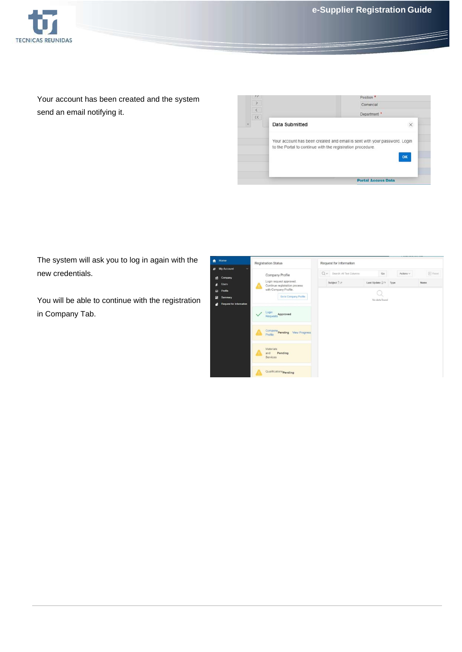

Your account has been created and the system send an email notifying it.



The system will ask you to log in again with the new credentials.

You will be able to continue with the registration in Company Tab.

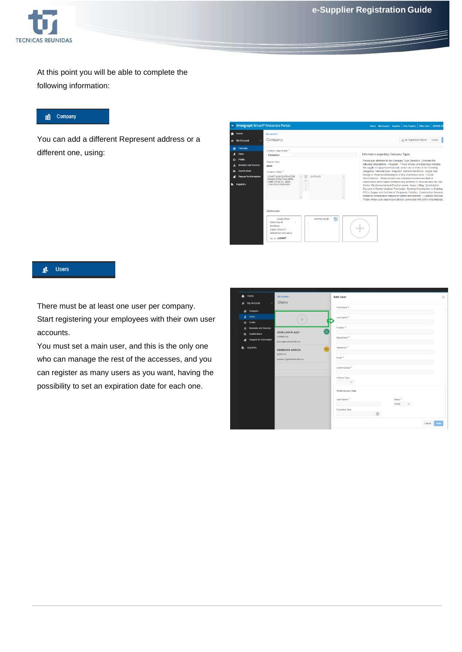

At this point you will be able to complete the following information:

#### end Company

You can add a different Represent address or a different one, using:

| $\equiv$     | Intergraph Smart <sup>®</sup> Materials Portal     |                                                                                                                                                                                          | <b>DENISE BA</b><br>View Reports<br>Other Links<br>Home My Account Inquiries                                                                                                                                                                                                                                                                                                                                                                                                                                                                                                                                  |
|--------------|----------------------------------------------------|------------------------------------------------------------------------------------------------------------------------------------------------------------------------------------------|---------------------------------------------------------------------------------------------------------------------------------------------------------------------------------------------------------------------------------------------------------------------------------------------------------------------------------------------------------------------------------------------------------------------------------------------------------------------------------------------------------------------------------------------------------------------------------------------------------------|
| n            | Home                                               | My Account 1                                                                                                                                                                             |                                                                                                                                                                                                                                                                                                                                                                                                                                                                                                                                                                                                               |
|              | 15 My Account<br>$\ddotmark$                       | Company                                                                                                                                                                                  | .V. My Registration Report<br>Cancel                                                                                                                                                                                                                                                                                                                                                                                                                                                                                                                                                                          |
|              | Corroany                                           | Company Legal Name *                                                                                                                                                                     |                                                                                                                                                                                                                                                                                                                                                                                                                                                                                                                                                                                                               |
|              | <b>Users</b>                                       | Company I                                                                                                                                                                                | Information regarding Company Types                                                                                                                                                                                                                                                                                                                                                                                                                                                                                                                                                                           |
| $\mathbb{F}$ | Frotte<br>Materials and Services                   | Supplier Code<br><b>B009</b>                                                                                                                                                             | Please pay attention to the Company Type Selection, Consider the<br>following descriptions: · Supplier : Those whose core business includes<br>the supply of equipment/materials under one or more of the following                                                                                                                                                                                                                                                                                                                                                                                           |
|              | <b>Qualifications</b>                              | Company Types <sup>*</sup>                                                                                                                                                               | categories: Manufacturer, Integrator, Stockist/Distributor, Supply and                                                                                                                                                                                                                                                                                                                                                                                                                                                                                                                                        |
|              | <b>Request for Information</b><br><b>Inquiries</b> | $\mathbb{E}$<br><b>SUPPLIER</b><br>CONST. SUBCONTRACTOR<br><b>ENG&amp;CONSULTING SERV.</b><br>><br><b>INSPECTION OC SERV.</b><br><b>LOGISTICS SERVICES</b><br>$\,$<br>$\acute{\text{c}}$ | Design or Representative/Agent of any of previous ones. . Const.<br>Subcontractor : Those whose core business includes any kind of<br>construction and/or pre/commissioning activities or services such as Civil<br>Works, Electromechanical Erection works, Heavy Lifting, Construction<br>Equipment Rental, Modular Fabrication, Building Construction or Building<br>EPCs, Supply and Erection of Temporary Facilities, Construction Services<br>related to construction manpower (direct and indirect) . Logistics Services<br>Those whose core business is directly connected with either international. |
|              |                                                    | Addresses<br>F)<br><b>REPRESENT.</b><br>HeadOffice *<br>Calle Cruz 8<br>٠<br><b>ES SPAIN</b><br>20800 ZARAUTZ<br><b>GIPUZKOA GIPUZKOA</b><br>Tax ID: /1234567                            |                                                                                                                                                                                                                                                                                                                                                                                                                                                                                                                                                                                                               |

#### L Users

There must be at least one user per company. Start registering your employees with their own user accounts.

You must set a main user, and this is the only one who can manage the rest of the accesses, and you can register as many users as you want, having the possibility to set an expiration date for each one.

| Home<br>A                                                   | My Account \                                                                        | Add User                                          | $\times$ |
|-------------------------------------------------------------|-------------------------------------------------------------------------------------|---------------------------------------------------|----------|
| 1 My Account<br>$\ddot{\phantom{1}}$<br>Bill Company        | <b>Users</b>                                                                        | First Name *                                      |          |
| <b>R</b> Users                                              |                                                                                     | Last Name *                                       |          |
| <b>G</b> Profile<br><b>Materials and Services</b><br>Ł.     |                                                                                     | Position *                                        |          |
| Qualifications<br>e.<br><b>Request for Information</b><br>4 | ้วย<br><b>JOSE LUIS PLAZA *</b><br><b>COMERCIAL</b><br>plaza.j@industrial.initec.es | Department *                                      |          |
| Inquiries<br>ß.                                             | RG<br><b>REMEDIOS GARCÍA</b>                                                        | Telephone <sup>*</sup>                            |          |
|                                                             | <b>GERENTE</b><br>g.romero.r@industrial.initec.es                                   | Email *                                           |          |
|                                                             |                                                                                     | Confirm Email <sup>*</sup>                        |          |
|                                                             |                                                                                     | Address Type<br>$\checkmark$                      |          |
|                                                             |                                                                                     | Portal Access Data                                |          |
|                                                             |                                                                                     | User Name *<br>Status <sup>*</sup><br>Active<br>v |          |
|                                                             |                                                                                     | Expiration Date<br>₩                              |          |
|                                                             |                                                                                     | Cancel                                            | Save     |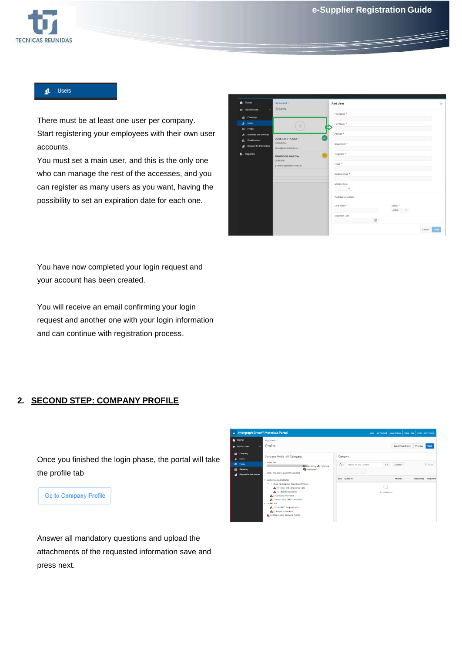

#### **Users** 具。

There must be at least one user per company. Start registering your employees with their own user accounts.

You must set a main user, and this is the only one who can manage the rest of the accesses, and you can register as many users as you want, having the possibility to set an expiration date for each one.

| $\bigwedge$ Home<br>E My Account<br>$\ddot{}$           | My Account \<br><b>Users</b>                                                        | Add User                            | $\times$       |
|---------------------------------------------------------|-------------------------------------------------------------------------------------|-------------------------------------|----------------|
| <b>Big</b> Company                                      |                                                                                     | First Name *                        |                |
| <b>此</b> Users                                          |                                                                                     | Last Name *                         |                |
| <b>CB</b> Profile<br><b>Materials and Services</b><br>盀 |                                                                                     | Position *                          |                |
| Qualifications<br>ė.<br>Request for Information<br>2    | JL.<br><b>JOSE LUIS PLAZA *</b><br><b>COMERCIAL</b><br>plaza.j@industrial.initec.es | Department *                        |                |
| <b>Inquiries</b><br>B.                                  | RG<br><b>REMEDIOS GARCÍA</b>                                                        | Telephone *                         |                |
|                                                         | <b>GERENTE</b><br>g.romero.r@industrial.initec.es                                   | Email <sup>*</sup>                  |                |
|                                                         |                                                                                     | Confirm Email <sup>*</sup>          |                |
|                                                         |                                                                                     | Address Type<br>$\sim$              |                |
|                                                         |                                                                                     | Portal Access Data                  |                |
|                                                         |                                                                                     | Status *<br>User Name *<br>Active v |                |
|                                                         |                                                                                     | Expiration Date<br>$\boxplus$       |                |
|                                                         |                                                                                     |                                     | Cancel<br>Save |

You have now completed your login request and your account has been created.

You will receive an email confirming your login request and another one with your login information and can continue with registration process.

#### **2. SECOND STEP: COMPANY PROFILE**

| Once you finished the login phase, the portal will take |  |
|---------------------------------------------------------|--|
| the profile tab                                         |  |

Go to Company Profile



Answer all mandatory questions and upload the attachments of the requested information save and press next.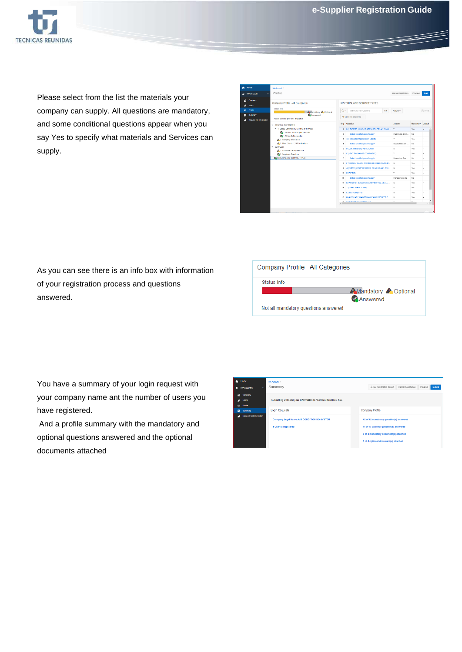

Please select from the list the materials your company can supply. All questions are mandatory, and some conditional questions appear when you say Yes to specify what materials and Services can supply.

| U<br>E My Account                                                                         | Profile                                                                                                                                     |                |                                                          | Cancel Recistration | Previous                | <b>Next</b>    |
|-------------------------------------------------------------------------------------------|---------------------------------------------------------------------------------------------------------------------------------------------|----------------|----------------------------------------------------------|---------------------|-------------------------|----------------|
| Company<br>Users                                                                          | Company Profile - All Categories                                                                                                            |                | MATERIAL AND SERVICE TYPES                               |                     |                         |                |
| <b>Profile</b><br>$\overline{a}$<br><b>Summary</b><br>B<br><b>Request for Information</b> | <b>Status Info</b><br><b>Automatory A Optional</b><br>Answered<br>Not all optional questions answered                                       | Ov.            | Search, All Text Columns<br>Go<br>All questions answered | Actors ~            |                         | <b>E</b> Reset |
|                                                                                           | <b>v GENERAL QUESTIONS</b>                                                                                                                  | Seq            | Question                                                 | Answer              | <b>Mondatory Attach</b> |                |
|                                                                                           | - 1. Ethics, Compliance, Security and Privacy<br>4.1.1 Ethics and Compliance Code<br>2 1.2 Integrity Declaration<br>A.2 Company Information |                | 1 B (HEATERS, KILNS, FLARES, BOILERS AND INCI.           | Y.                  | Vas                     |                |
|                                                                                           |                                                                                                                                             | $\overline{z}$ | Select specific types of supply                          | Flue Ducts, Dam.    | No                      |                |
|                                                                                           |                                                                                                                                             | $\mathfrak{g}$ | C IPROCESS AND UTILITY UNITS)                            | Y.                  | Yes                     |                |
|                                                                                           | A. 3. Main Clients / EPC Contractors                                                                                                        | $\overline{A}$ | Select specific types of supply                          | Flortrifiters (N)   | No.                     |                |
|                                                                                           | <b>v SUPFLIER</b><br>A.1. ClanbEPC Pregualification                                                                                         |                | 5 D (COLUMNS AND REACTORS)                               | $\mathbb N$         | Yes                     |                |
|                                                                                           | 22 Supplier's Questions                                                                                                                     | 8              | E (HEAT EXCHANGE EQUIPMENT)                              | Y.                  | Yes                     |                |
|                                                                                           | CA MATERIAL AND SERVICE TYPES                                                                                                               | ×              | Select specific types of supply                          | Deserators Eva      | No                      |                |
|                                                                                           |                                                                                                                                             |                | 8 F (VESSEL TANKS, GAS DRYERS AND STATIC M               | $\mathbb N$         | Yes                     |                |
|                                                                                           |                                                                                                                                             |                | G (PUMPS, COMPRESSORS, DRIVERS AND OTH N                 |                     | Yes                     |                |
|                                                                                           |                                                                                                                                             |                | 10 H (PIPING)                                            | Y.                  | Yas                     |                |
|                                                                                           |                                                                                                                                             | 11             | Select specific types of supply                          | Flanges:Gaskets     | No                      |                |
|                                                                                           |                                                                                                                                             | 12             | I BIVAC FOR BUILDINGS (ONLY SUPPLY, EXCLU.               | N                   | Yes                     |                |
|                                                                                           |                                                                                                                                             |                | 13 J (STEEL STRUCTURE)                                   | M.                  | Vot                     |                |
|                                                                                           |                                                                                                                                             | 14             | K (INSTRUMENTS)                                          | $_{\rm N}$          | Yes                     |                |
|                                                                                           |                                                                                                                                             | 15             | M (AUXILIARY MAINTENANCE AND PROTECTIO                   | N                   | Yes                     |                |
|                                                                                           |                                                                                                                                             |                | 42 HOTEL PARTICULAR AND THE REAL                         | $\mathbf{a}$ .      | $\sim$                  |                |

As you can see there is an info box with information of your registration process and questions answered.



You have a summary of your login request with your company name ant the number of users you have registered.

And a profile summary with the mandatory and optional questions answered and the optional documents attached

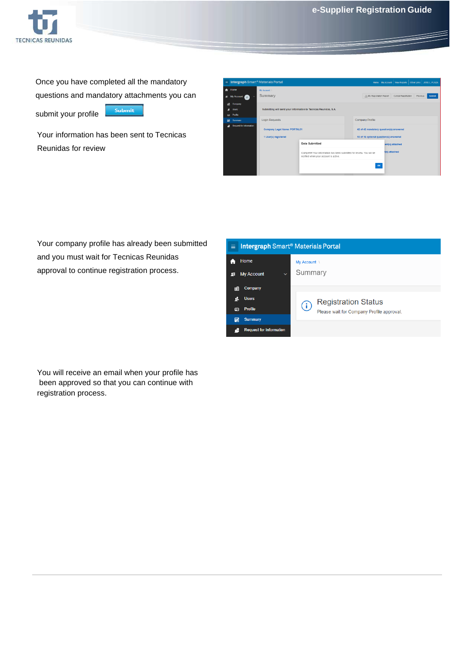

Once you have completed all the mandatory questions and mandatory attachments you can Submit submit your profile

Your information has been sent to Tecnicas Reunidas for review

| m <sub>i</sub> |                                | Intergraph Smart <sup>®</sup> Materials Portal                   | Other Links JOSE L. PLAZA<br>Home My Account   View Reports                                                    |                                                                                   |  |  |  |  |  |
|----------------|--------------------------------|------------------------------------------------------------------|----------------------------------------------------------------------------------------------------------------|-----------------------------------------------------------------------------------|--|--|--|--|--|
| $\bullet$      | <b>Home</b>                    | My Account                                                       |                                                                                                                |                                                                                   |  |  |  |  |  |
|                | £ My Account<br>$\sim$<br>'л'  | Summary                                                          |                                                                                                                | My Registration Report<br>Cancel Registration<br>Previous<br>Submit               |  |  |  |  |  |
| пĤ             | Company                        |                                                                  |                                                                                                                |                                                                                   |  |  |  |  |  |
| 虱              | Users                          | Submitting will send your information to Tecnicas Reunidas, S.A. |                                                                                                                |                                                                                   |  |  |  |  |  |
| $\circ$        | Profile                        |                                                                  |                                                                                                                |                                                                                   |  |  |  |  |  |
| B              | Summary                        | <b>Login Requests</b>                                            |                                                                                                                | Company Profile                                                                   |  |  |  |  |  |
| a              | <b>Request for Information</b> | Company Legal Name: PORTAL01<br>1 User(s) registered             |                                                                                                                | 42 of 42 mandatory question(s) answered<br>10 of 16 optional question(s) answered |  |  |  |  |  |
|                |                                |                                                                  | Data Submitted                                                                                                 | ent(s) attached                                                                   |  |  |  |  |  |
|                |                                |                                                                  | Complete! Your information has been submitted for review. You will be<br>notified when your account is active. | t(s) attached<br>OK                                                               |  |  |  |  |  |
|                |                                |                                                                  |                                                                                                                |                                                                                   |  |  |  |  |  |

Your company profile has already been submitted and you must wait for Tecnicas Reunidas approval to continue registration process.

| <b>Intergraph Smart<sup>®</sup> Materials Portal</b><br>≣ |                                           |  |  |  |  |  |  |  |
|-----------------------------------------------------------|-------------------------------------------|--|--|--|--|--|--|--|
| Home<br><b>My Account</b><br>$\checkmark$<br>蛙            | My Account \<br>Summary                   |  |  |  |  |  |  |  |
| Company<br>睄<br><b>Users</b>                              | <b>Registration Status</b><br>(i)         |  |  |  |  |  |  |  |
| <b>Profile</b><br>囸<br><b>Summary</b><br>E.               | Please wait for Company Profile approval. |  |  |  |  |  |  |  |
| <b>Request for Information</b>                            |                                           |  |  |  |  |  |  |  |

You will receive an email when your profile has been approved so that you can continue with registration process.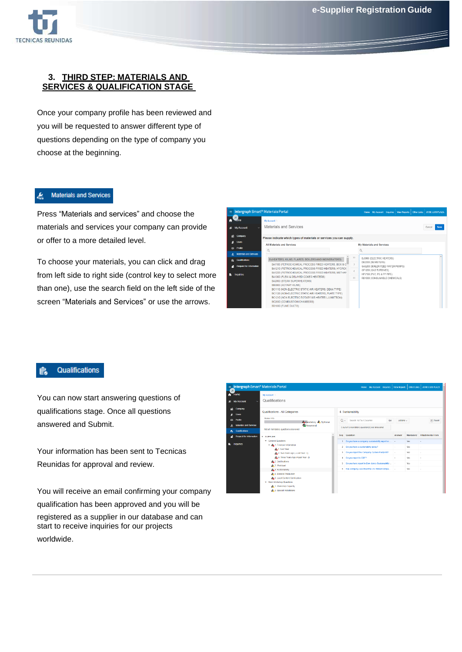

#### **3. THIRD STEP: MATERIALS AND SERVICES & QUALIFICATION STAGE**

Once your company profile has been reviewed and you will be requested to answer different type of questions depending on the type of company you choose at the beginning.

#### **Materials and Services** پع

Press "Materials and services" and choose the materials and services your company can provide or offer to a more detailed level.

To choose your materials, you can click and drag from left side to right side (control key to select more than one), use the search field on the left side of the screen "Materials and Services" or use the arrows.

| Intergraph Smart <sup>®</sup> Materials Portal                                                            |                                                                                                                                                                                                                                                                                                                                                                                                                                                                                                                                                                                     |                                        |                                                                                                                                                                             |  | Home My Account Inquiries   View Reports   Other Links   JOSE LUIS PLAZA |
|-----------------------------------------------------------------------------------------------------------|-------------------------------------------------------------------------------------------------------------------------------------------------------------------------------------------------------------------------------------------------------------------------------------------------------------------------------------------------------------------------------------------------------------------------------------------------------------------------------------------------------------------------------------------------------------------------------------|----------------------------------------|-----------------------------------------------------------------------------------------------------------------------------------------------------------------------------|--|--------------------------------------------------------------------------|
| JT<br>mome<br><b>My Account</b><br>$\ddot{\phantom{1}}$<br>囸                                              | My Account<br>Materials and Services                                                                                                                                                                                                                                                                                                                                                                                                                                                                                                                                                |                                        |                                                                                                                                                                             |  | Save<br>Cancel                                                           |
| Company<br><b>Users</b><br>a                                                                              | Please indicate which types of materials or services you can supply.                                                                                                                                                                                                                                                                                                                                                                                                                                                                                                                |                                        |                                                                                                                                                                             |  |                                                                          |
| <b>CB</b> Profile                                                                                         | All Materials and Services<br>$\circ$                                                                                                                                                                                                                                                                                                                                                                                                                                                                                                                                               |                                        | <b>My Materials and Services</b>                                                                                                                                            |  |                                                                          |
| <b>Materials and Services</b><br>x<br>Qualifications<br>e.<br><b>Request for Information</b><br>Inquiries | <b>B (HEATERS, KILNS, FLARES, BOILERS AND INCINERATORS)</b><br>BA1100 (PETROCHEMICAL PROCESS FIRED HEATERS, BOX & C <sup>11</sup><br>BA1210 (PETROCHEMICAL PROCESS FIRED HEATERS, HYDROL<br>BA1220 (PETROCHEMICAL PROCESS FIRED HEATERS, METHAN<br>BA1300 (FLEXI & DELAYED COKER HEATERS)<br>BA2000 (STEAM SUPERHEATERS)<br><b>BB0000 (ROTARY KILNS)</b><br>BC1110 (NON-ELECTRIC STATIC AIR HEATERS, DEKA TYPE)<br>BC1120 (NON-ELECTRIC STATIC AIR HEATERS, PLATE TYPE)<br>BC1210 (NON ELECTRIC ROTARY AIR HEATER LJUNSTROM)<br>BC2000 (COMBUSTION CHAMBERS)<br>BD1000 (FUME DUCTS) | $\rightarrow$<br>$\rightarrow$<br>$<<$ | BJ0000 (ELECTRIC HEATERS)<br>DB2000 (DEMISTERS)<br>GA5200 (BOILER FEED WATER PUMPS)<br>GF1200 (GAS TURBINES)<br>HP5100 (PVC, PE & PP PIPE)<br>RB1000 (CONSUMABLE CHEMICALS) |  |                                                                          |

### Qualifications

You can now start answering questions of qualifications stage. Once all questions answered and Submit.

Your information has been sent to Tecnicas Reunidas for approval and review.

You will receive an email confirming your company qualification has been approved and you will be registered as a supplier in our database and can start to receive inquiries for our projects worldwide.